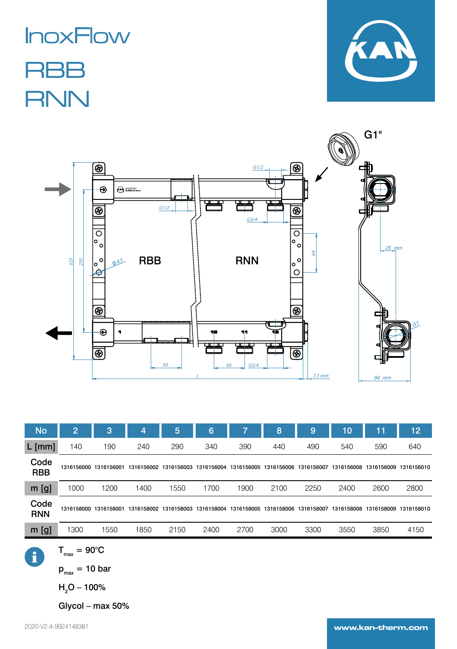## InoxFlow

**RBB RNN** 





| <b>No</b>          | $\overline{2}$        | 3    | 4          | 5          | 6          |            | 8          | 9          | 10         | 11         | 12         |
|--------------------|-----------------------|------|------------|------------|------------|------------|------------|------------|------------|------------|------------|
| $L$ [mm]           | 140                   | 190  | 240        | 290        | 340        | 390        | 440        | 490        | 540        | 590        | 640        |
| Code<br><b>RBB</b> | 1316156000 1316156001 |      | 1316156002 | 1316156003 | 1316156004 | 1316156005 | 1316156006 | 1316156007 | 1316156008 | 1316156009 | 1316156010 |
| $m$ [g]            | 1000                  | 1200 | 1400       | 1550       | 1700       | 1900       | 2100       | 2250       | 2400       | 2600       | 2800       |
| Code<br><b>RNN</b> | 1316158000 1316158001 |      | 1316158002 | 1316158003 | 1316158004 | 1316158005 | 1316158006 | 1316158007 | 1316158008 | 1316158009 | 1316158010 |
| $m$ [g]            | 1300                  | 1550 | 1850       | 2150       | 2400       | 2700       | 3000       | 3300       | 3550       | 3850       | 4150       |
|                    |                       |      |            |            |            |            |            |            |            |            |            |

A

 $T_{max} = 90^{\circ}C$ 

 $p_{max}$  = 10 bar

H<sub>2</sub>O – 100%

Glycol – max 50%